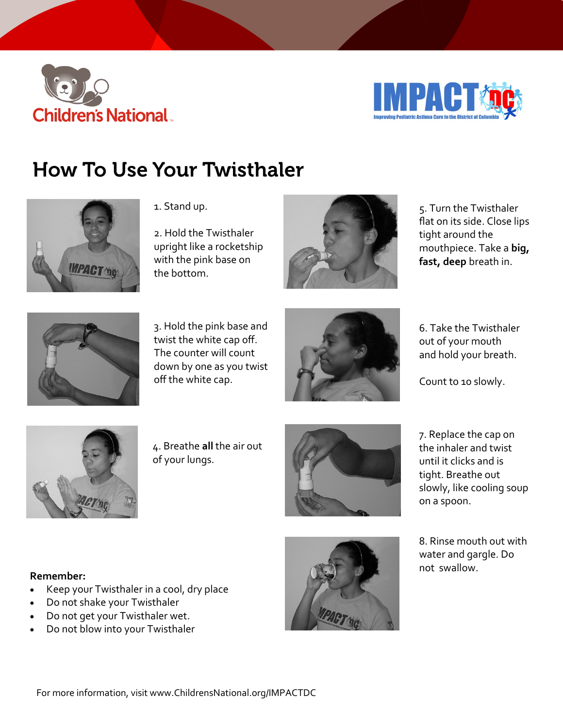



# **How To Use Your Twisthaler**



1. Stand up.

2. Hold the Twisthaler upright like a rocketship with the pink base on the bottom.



5. Turn the Twisthaler flat on its side. Close lips tight around the mouthpiece. Take a **big, fast, deep** breath in.



3. Hold the pink base and twist the white cap off. The counter will count down by one as you twist off the white cap.



6. Take the Twisthaler out of your mouth and hold your breath.

Count to 10 slowly.



4. Breathe **all** the air out of your lungs.



7. Replace the cap on the inhaler and twist until it clicks and is tight. Breathe out slowly, like cooling soup on a spoon.

8. Rinse mouth out with water and gargle. Do not swallow.

#### **Remember:**

- Keep your Twisthaler in a cool, dry place
- Do not shake your Twisthaler
- Do not get your Twisthaler wet.
- Do not blow into your Twisthaler

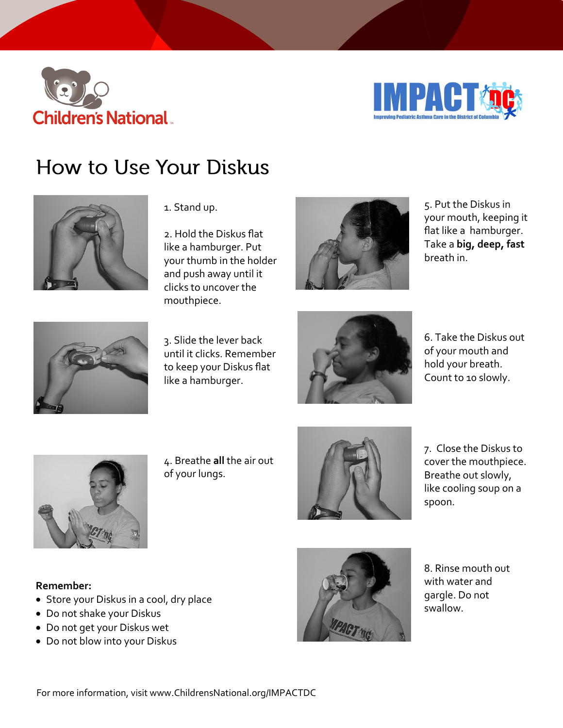



# How to Use Your Diskus



#### 1. Stand up.

2. Hold the Diskus flat like a hamburger. Put your thumb in the holder and push away until it clicks to uncover the mouthpiece.



5. Put the Diskus in your mouth, keeping it flat like a hamburger. Take a **big, deep, fast**  breath in.



3. Slide the lever back until it clicks. Remember to keep your Diskus flat like a hamburger.



6. Take the Diskus out of your mouth and hold your breath. Count to 10 slowly.



4. Breathe **all** the air out of your lungs.



7. Close the Diskus to cover the mouthpiece. Breathe out slowly, like cooling soup on a spoon.

#### **Remember:**

- Store your Diskus in a cool, dry place
- Do not shake your Diskus
- Do not get your Diskus wet
- Do not blow into your Diskus



8. Rinse mouth out with water and gargle. Do not swallow.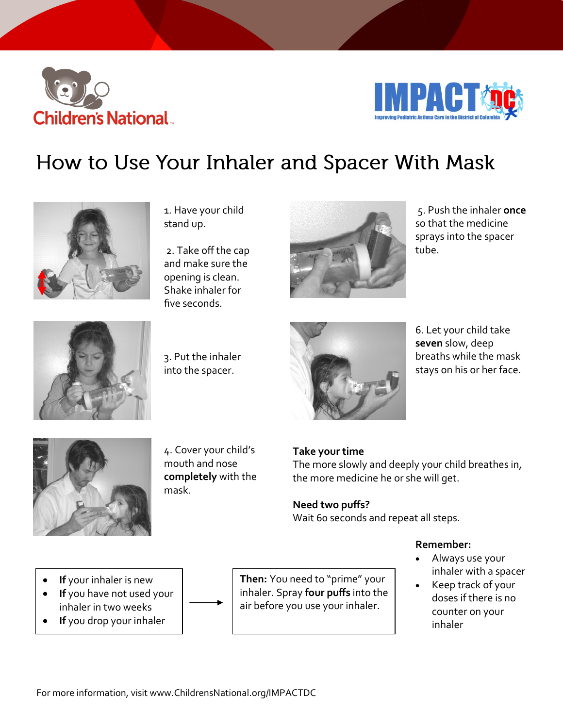



## How to Use Your Inhaler and Spacer With Mask



1. Have your child stand up.

2. Take off the cap and make sure the opening is clean. Shake inhaler for five seconds.



5. Push the inhaler **once**  so that the medicine sprays into the spacer tube.



3. Put the inhaler into the spacer.



6. Let your child take **seven** slow, deep breaths while the mask stays on his or her face.



4. Cover your child's mouth and nose **completely** with the mask.

### **Take your time**

The more slowly and deeply your child breathes in, the more medicine he or she will get.

**Need two puffs?** Wait 60 seconds and repeat all steps.

- **Remember:**
- Always use your inhaler with a spacer
- Keep track of your doses if there is no counter on your inhaler
- **If** your inhaler is new
- **If** you have not used your inhaler in two weeks
- **If** you drop your inhaler

**Then:** You need to "prime" your inhaler. Spray **four puffs** into the air before you use your inhaler.